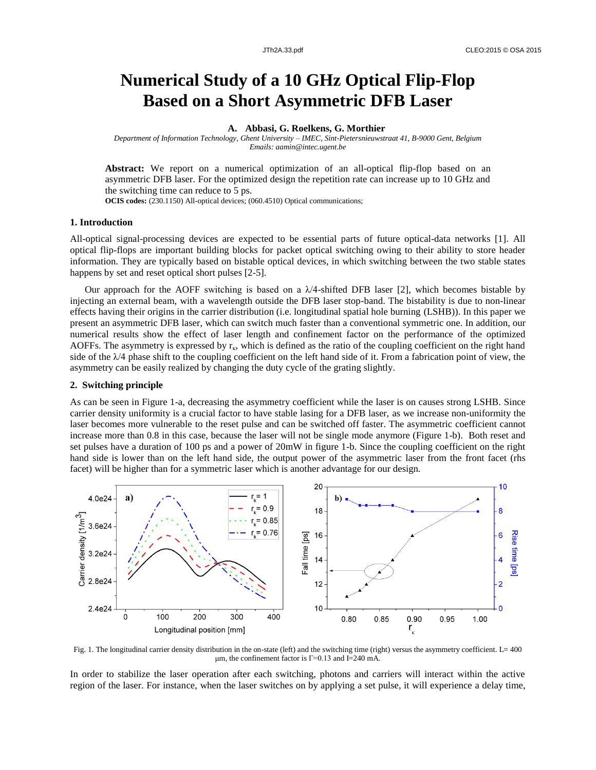# **Numerical Study of a 10 GHz Optical Flip-Flop Based on a Short Asymmetric DFB Laser**

**A. Abbasi, G. Roelkens, G. Morthier**

*Department of Information Technology, Ghent University – IMEC, Sint-Pietersnieuwstraat 41, B-9000 Gent, Belgium Emails: aamin@intec.ugent.be*

**Abstract:** We report on a numerical optimization of an all-optical flip-flop based on an asymmetric DFB laser. For the optimized design the repetition rate can increase up to 10 GHz and the switching time can reduce to 5 ps.

**OCIS codes:** (230.1150) All-optical devices; (060.4510) Optical communications;

## **1. Introduction**

All-optical signal-processing devices are expected to be essential parts of future optical-data networks [1]. All optical flip-flops are important building blocks for packet optical switching owing to their ability to store header information. They are typically based on bistable optical devices, in which switching between the two stable states happens by set and reset optical short pulses [2-5].

Our approach for the AOFF switching is based on a  $\lambda/4$ -shifted DFB laser [2], which becomes bistable by injecting an external beam, with a wavelength outside the DFB laser stop-band. The bistability is due to non-linear effects having their origins in the carrier distribution (i.e. longitudinal spatial hole burning (LSHB)). In this paper we present an asymmetric DFB laser, which can switch much faster than a conventional symmetric one. In addition, our numerical results show the effect of laser length and confinement factor on the performance of the optimized AOFFs. The asymmetry is expressed by  $r_{k}$ , which is defined as the ratio of the coupling coefficient on the right hand side of the  $\lambda/4$  phase shift to the coupling coefficient on the left hand side of it. From a fabrication point of view, the asymmetry can be easily realized by changing the duty cycle of the grating slightly.

# **2. Switching principle**

As can be seen in Figure 1-a, decreasing the asymmetry coefficient while the laser is on causes strong LSHB. Since carrier density uniformity is a crucial factor to have stable lasing for a DFB laser, as we increase non-uniformity the laser becomes more vulnerable to the reset pulse and can be switched off faster. The asymmetric coefficient cannot increase more than 0.8 in this case, because the laser will not be single mode anymore (Figure 1-b). Both reset and set pulses have a duration of 100 ps and a power of 20mW in figure 1-b. Since the coupling coefficient on the right hand side is lower than on the left hand side, the output power of the asymmetric laser from the front facet (rhs facet) will be higher than for a symmetric laser which is another advantage for our design.



Fig. 1. The longitudinal carrier density distribution in the on-state (left) and the switching time (right) versus the asymmetry coefficient. L= 400 μm, the confinement factor is  $Γ=0.13$  and  $I=240$  mA.

In order to stabilize the laser operation after each switching, photons and carriers will interact within the active region of the laser. For instance, when the laser switches on by applying a set pulse, it will experience a delay time,